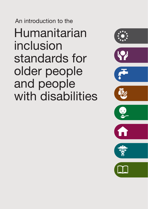Humanitarian inclusion standards for older people and people with disabilities An introduction to the

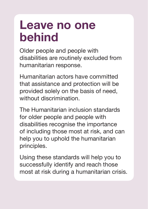### **Leave no one behind**

Older people and people with disabilities are routinely excluded from humanitarian response.

Humanitarian actors have committed that assistance and protection will be provided solely on the basis of need, without discrimination

The Humanitarian inclusion standards for older people and people with disabilities recognise the importance of including those most at risk, and can help you to uphold the humanitarian principles.

Using these standards will help you to successfully identify and reach those most at risk during a humanitarian crisis.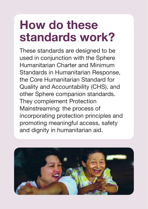# **How do these standards work?**

These standards are designed to be used in conjunction with the Sphere Humanitarian Charter and Minimum Standards in Humanitarian Response, the Core Humanitarian Standard for Quality and Accountability (CHS), and other Sphere companion standards. They complement Protection Mainstreaming: the process of incorporating protection principles and promoting meaningful access, safety and dignity in humanitarian aid.

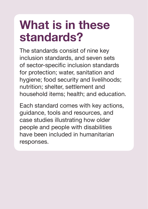# **What is in these standards?**

The standards consist of nine key inclusion standards, and seven sets of sector-specific inclusion standards for protection; water, sanitation and hygiene; food security and livelihoods; nutrition; shelter, settlement and household items; health; and education.

Each standard comes with key actions, guidance, tools and resources, and case studies illustrating how older people and people with disabilities have been included in humanitarian responses.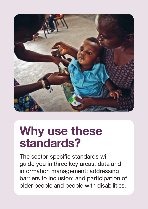

## **Why use these standards?**

The sector-specific standards will guide you in three key areas: data and information management; addressing barriers to inclusion; and participation of older people and people with disabilities.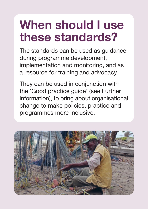# **When should I use these standards?**

The standards can be used as guidance during programme development, implementation and monitoring, and as a resource for training and advocacy.

They can be used in conjunction with the 'Good practice guide' (see Further information), to bring about organisational change to make policies, practice and programmes more inclusive.

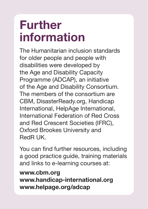# **Further information**

The Humanitarian inclusion standards for older people and people with disabilities were developed by the Age and Disability Capacity Programme (ADCAP), an initiative of the Age and Disability Consortium. The members of the consortium are CBM, DisasterReady.org, Handicap International, HelpAge International, International Federation of Red Cross and Red Crescent Societies (IFRC), Oxford Brookes University and RedR UK.

You can find further resources, including a good practice guide, training materials and links to e-learning courses at:

#### **www.cbm.org**

**www.handicap-international.org www.helpage.org/adcap**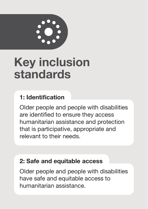

# **Key inclusion standards**

### **1: Identification**

Older people and people with disabilities are identified to ensure they access humanitarian assistance and protection that is participative, appropriate and relevant to their needs.

#### **2: Safe and equitable access**

Older people and people with disabilities have safe and equitable access to humanitarian assistance.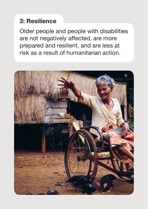### **3: Resilience**

Older people and people with disabilities are not negatively affected, are more prepared and resilient, and are less at risk as a result of humanitarian action.

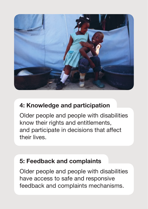

#### **4: Knowledge and participation**

Older people and people with disabilities know their rights and entitlements, and participate in decisions that affect their lives.

#### **5: Feedback and complaints**

Older people and people with disabilities have access to safe and responsive feedback and complaints mechanisms.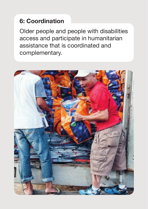### **6: Coordination**

Older people and people with disabilities access and participate in humanitarian assistance that is coordinated and complementary.

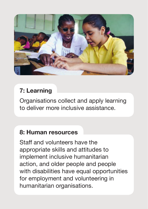

### **7: Learning**

Organisations collect and apply learning to deliver more inclusive assistance.

#### **8: Human resources**

Staff and volunteers have the appropriate skills and attitudes to implement inclusive humanitarian action, and older people and people with disabilities have equal opportunities for employment and volunteering in humanitarian organisations.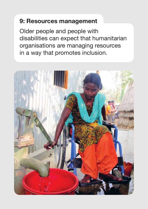#### **9: Resources management**

Older people and people with disabilities can expect that humanitarian organisations are managing resources in a way that promotes inclusion.